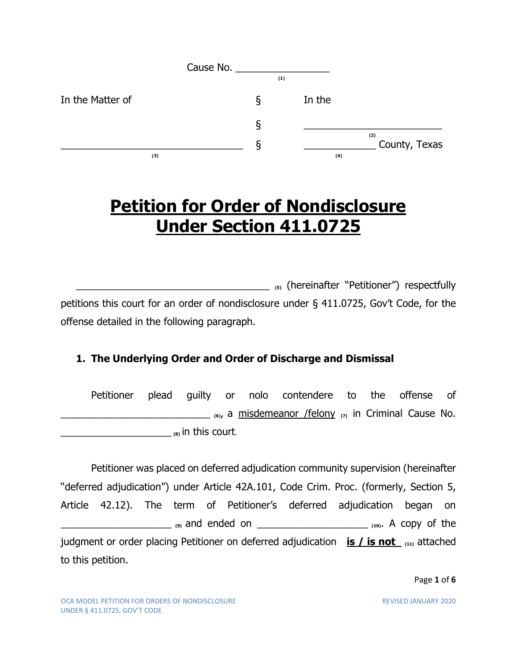|                  | Cause No. |   |     |        |                      |
|------------------|-----------|---|-----|--------|----------------------|
|                  |           |   | (1) |        |                      |
| In the Matter of |           | δ |     | In the |                      |
|                  |           | δ |     |        |                      |
|                  |           | ১ |     |        | (2)<br>County, Texas |
| (3)              |           |   |     | (4)    |                      |

# **Petition for Order of Nondisclosure Under Section 411.0725**

\_\_\_\_\_\_\_\_\_\_\_\_\_\_\_\_\_\_\_\_\_\_\_\_\_\_\_\_\_\_\_\_\_\_\_ **(5)** (hereinafter "Petitioner") respectfully petitions this court for an order of nondisclosure under § 411.0725, Gov't Code, for the offense detailed in the following paragraph.

### **1. The Underlying Order and Order of Discharge and Dismissal**

Petitioner plead guilty or nolo contendere to the offense of \_\_\_\_\_\_\_\_\_\_\_\_\_\_\_\_\_\_\_\_\_\_\_\_\_\_\_ **(6)**, a misdemeanor /felony **(7)** in Criminal Cause No. \_\_\_\_\_\_\_\_\_\_\_\_\_\_\_\_\_\_\_\_ **(8)** in this court.

Petitioner was placed on deferred adjudication community supervision (hereinafter "deferred adjudication") under Article 42A.101, Code Crim. Proc. (formerly, Section 5, Article 42.12). The term of Petitioner's deferred adjudication began on \_\_\_\_\_\_\_\_\_\_\_\_\_\_\_\_\_\_\_\_ **(9)** and ended on \_\_\_\_\_\_\_\_\_\_\_\_\_\_\_\_\_\_\_\_ **(10)**. A copy of the judgment or order placing Petitioner on deferred adjudication **is / is not (11)** attached to this petition.

Page **1** of **6**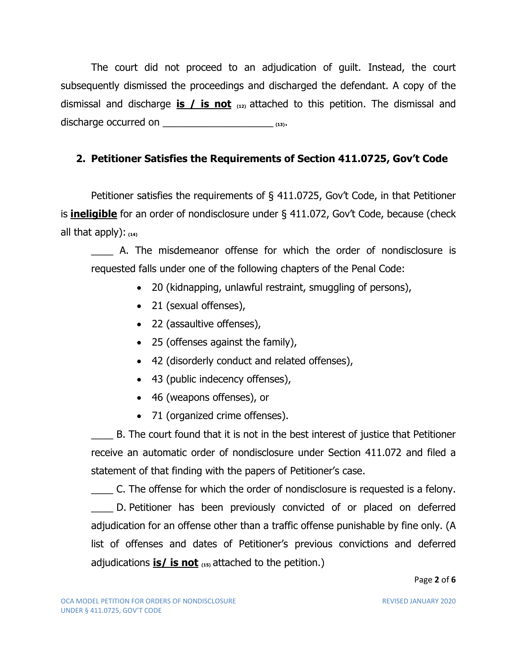The court did not proceed to an adjudication of guilt. Instead, the court subsequently dismissed the proceedings and discharged the defendant. A copy of the dismissal and discharge **is / is not (12)** attached to this petition. The dismissal and discharge occurred on \_\_\_\_\_\_\_\_\_\_\_\_\_\_\_\_\_\_\_\_ **(13)**.

### **2. Petitioner Satisfies the Requirements of Section 411.0725, Gov't Code**

Petitioner satisfies the requirements of § 411.0725, Gov't Code, in that Petitioner is **ineligible** for an order of nondisclosure under § 411.072, Gov't Code, because (check all that apply): **(14)**

A. The misdemeanor offense for which the order of nondisclosure is requested falls under one of the following chapters of the Penal Code:

- 20 (kidnapping, unlawful restraint, smuggling of persons),
- 21 (sexual offenses),
- 22 (assaultive offenses),
- 25 (offenses against the family),
- 42 (disorderly conduct and related offenses),
- 43 (public indecency offenses),
- 46 (weapons offenses), or
- 71 (organized crime offenses).

B. The court found that it is not in the best interest of justice that Petitioner receive an automatic order of nondisclosure under Section 411.072 and filed a statement of that finding with the papers of Petitioner's case.

\_\_\_\_ C. The offense for which the order of nondisclosure is requested is a felony. \_\_\_\_ D. Petitioner has been previously convicted of or placed on deferred adjudication for an offense other than a traffic offense punishable by fine only. (A list of offenses and dates of Petitioner's previous convictions and deferred adjudications **is/ is not (15)** attached to the petition.)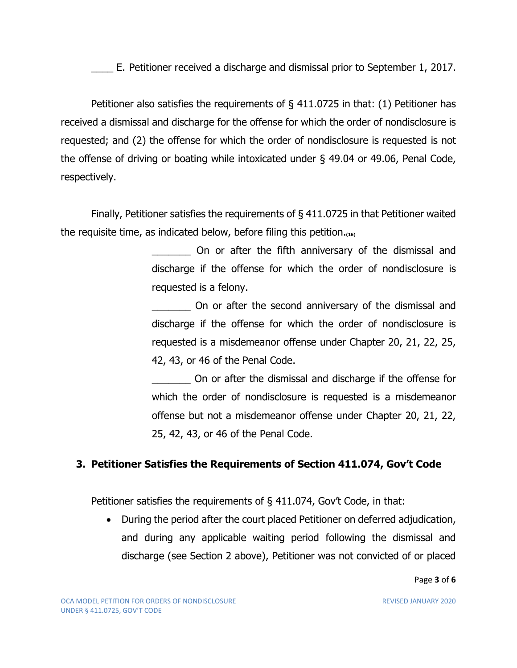E. Petitioner received a discharge and dismissal prior to September 1, 2017.

Petitioner also satisfies the requirements of § 411.0725 in that: (1) Petitioner has received a dismissal and discharge for the offense for which the order of nondisclosure is requested; and (2) the offense for which the order of nondisclosure is requested is not the offense of driving or boating while intoxicated under § 49.04 or 49.06, Penal Code, respectively.

Finally, Petitioner satisfies the requirements of § 411.0725 in that Petitioner waited the requisite time, as indicated below, before filing this petition.**(16)**

> \_\_\_\_\_\_\_ On or after the fifth anniversary of the dismissal and discharge if the offense for which the order of nondisclosure is requested is a felony.

> \_\_\_\_\_\_\_ On or after the second anniversary of the dismissal and discharge if the offense for which the order of nondisclosure is requested is a misdemeanor offense under Chapter 20, 21, 22, 25, 42, 43, or 46 of the Penal Code.

> \_\_\_\_\_\_\_ On or after the dismissal and discharge if the offense for which the order of nondisclosure is requested is a misdemeanor offense but not a misdemeanor offense under Chapter 20, 21, 22, 25, 42, 43, or 46 of the Penal Code.

#### **3. Petitioner Satisfies the Requirements of Section 411.074, Gov't Code**

Petitioner satisfies the requirements of  $\S$  411.074, Gov't Code, in that:

• During the period after the court placed Petitioner on deferred adjudication, and during any applicable waiting period following the dismissal and discharge (see Section 2 above), Petitioner was not convicted of or placed

Page **3** of **6**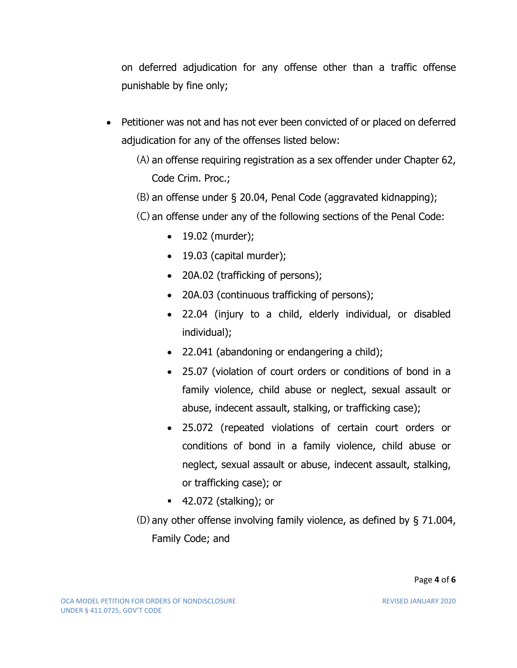on deferred adjudication for any offense other than a traffic offense punishable by fine only;

- Petitioner was not and has not ever been convicted of or placed on deferred adjudication for any of the offenses listed below:
	- (A) an offense requiring registration as a sex offender under Chapter 62, Code Crim. Proc.;
	- (B) an offense under § 20.04, Penal Code (aggravated kidnapping);
	- (C) an offense under any of the following sections of the Penal Code:
		- 19.02 (murder);
		- 19.03 (capital murder);
		- 20A.02 (trafficking of persons);
		- 20A.03 (continuous trafficking of persons);
		- 22.04 (injury to a child, elderly individual, or disabled individual);
		- 22.041 (abandoning or endangering a child);
		- 25.07 (violation of court orders or conditions of bond in a family violence, child abuse or neglect, sexual assault or abuse, indecent assault, stalking, or trafficking case);
		- 25.072 (repeated violations of certain court orders or conditions of bond in a family violence, child abuse or neglect, sexual assault or abuse, indecent assault, stalking, or trafficking case); or
		- 42.072 (stalking); or
	- (D) any other offense involving family violence, as defined by § 71.004, Family Code; and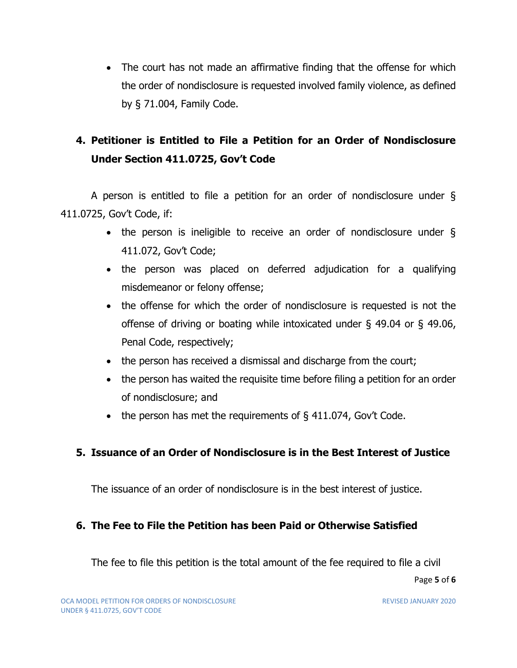• The court has not made an affirmative finding that the offense for which the order of nondisclosure is requested involved family violence, as defined by § 71.004, Family Code.

## **4. Petitioner is Entitled to File a Petition for an Order of Nondisclosure Under Section 411.0725, Gov't Code**

A person is entitled to file a petition for an order of nondisclosure under § 411.0725, Gov't Code, if:

- the person is ineligible to receive an order of nondisclosure under  $\S$ 411.072, Gov't Code;
- the person was placed on deferred adjudication for a qualifying misdemeanor or felony offense;
- the offense for which the order of nondisclosure is requested is not the offense of driving or boating while intoxicated under § 49.04 or § 49.06, Penal Code, respectively;
- the person has received a dismissal and discharge from the court;
- the person has waited the requisite time before filing a petition for an order of nondisclosure; and
- the person has met the requirements of  $\S$  411.074, Gov't Code.

### **5. Issuance of an Order of Nondisclosure is in the Best Interest of Justice**

The issuance of an order of nondisclosure is in the best interest of justice.

### **6. The Fee to File the Petition has been Paid or Otherwise Satisfied**

The fee to file this petition is the total amount of the fee required to file a civil

Page **5** of **6**